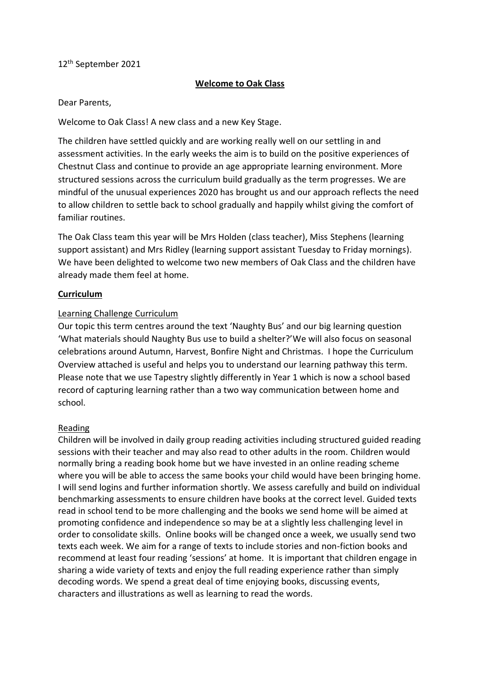# 12 th September 2021

# **Welcome to Oak Class**

### Dear Parents,

Welcome to Oak Class! A new class and a new Key Stage.

The children have settled quickly and are working really well on our settling in and assessment activities. In the early weeks the aim is to build on the positive experiences of Chestnut Class and continue to provide an age appropriate learning environment. More structured sessions across the curriculum build gradually as the term progresses. We are mindful of the unusual experiences 2020 has brought us and our approach reflects the need to allow children to settle back to school gradually and happily whilst giving the comfort of familiar routines.

The Oak Class team this year will be Mrs Holden (class teacher), Miss Stephens (learning support assistant) and Mrs Ridley (learning support assistant Tuesday to Friday mornings). We have been delighted to welcome two new members of Oak Class and the children have already made them feel at home.

### **Curriculum**

### Learning Challenge Curriculum

Our topic this term centres around the text 'Naughty Bus' and our big learning question 'What materials should Naughty Bus use to build a shelter?'We will also focus on seasonal celebrations around Autumn, Harvest, Bonfire Night and Christmas. I hope the Curriculum Overview attached is useful and helps you to understand our learning pathway this term. Please note that we use Tapestry slightly differently in Year 1 which is now a school based record of capturing learning rather than a two way communication between home and school.

#### Reading

Children will be involved in daily group reading activities including structured guided reading sessions with their teacher and may also read to other adults in the room. Children would normally bring a reading book home but we have invested in an online reading scheme where you will be able to access the same books your child would have been bringing home. I will send logins and further information shortly. We assess carefully and build on individual benchmarking assessments to ensure children have books at the correct level. Guided texts read in school tend to be more challenging and the books we send home will be aimed at promoting confidence and independence so may be at a slightly less challenging level in order to consolidate skills. Online books will be changed once a week, we usually send two texts each week. We aim for a range of texts to include stories and non-fiction books and recommend at least four reading 'sessions' at home. It is important that children engage in sharing a wide variety of texts and enjoy the full reading experience rather than simply decoding words. We spend a great deal of time enjoying books, discussing events, characters and illustrations as well as learning to read the words.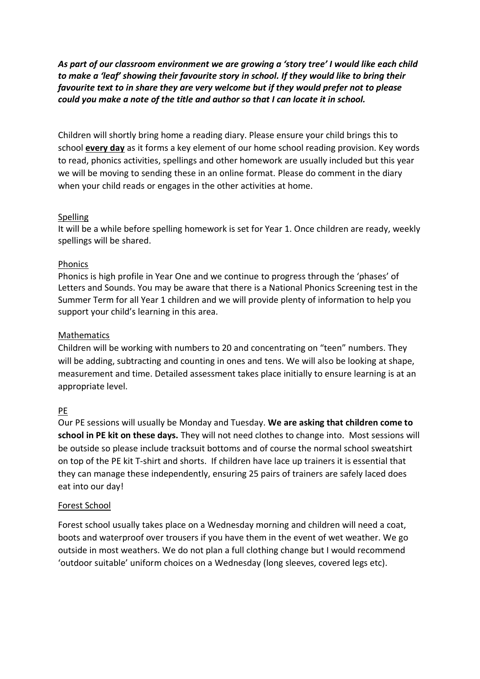*As part of our classroom environment we are growing a 'story tree' I would like each child to make a 'leaf' showing their favourite story in school. If they would like to bring their favourite text to in share they are very welcome but if they would prefer not to please could you make a note of the title and author so that I can locate it in school.*

Children will shortly bring home a reading diary. Please ensure your child brings this to school **every day** as it forms a key element of our home school reading provision. Key words to read, phonics activities, spellings and other homework are usually included but this year we will be moving to sending these in an online format. Please do comment in the diary when your child reads or engages in the other activities at home.

# Spelling

It will be a while before spelling homework is set for Year 1. Once children are ready, weekly spellings will be shared.

# Phonics

Phonics is high profile in Year One and we continue to progress through the 'phases' of Letters and Sounds. You may be aware that there is a National Phonics Screening test in the Summer Term for all Year 1 children and we will provide plenty of information to help you support your child's learning in this area.

# Mathematics

Children will be working with numbers to 20 and concentrating on "teen" numbers. They will be adding, subtracting and counting in ones and tens. We will also be looking at shape, measurement and time. Detailed assessment takes place initially to ensure learning is at an appropriate level.

# PE

Our PE sessions will usually be Monday and Tuesday. **We are asking that children come to school in PE kit on these days.** They will not need clothes to change into. Most sessions will be outside so please include tracksuit bottoms and of course the normal school sweatshirt on top of the PE kit T-shirt and shorts. If children have lace up trainers it is essential that they can manage these independently, ensuring 25 pairs of trainers are safely laced does eat into our day!

# Forest School

Forest school usually takes place on a Wednesday morning and children will need a coat, boots and waterproof over trousers if you have them in the event of wet weather. We go outside in most weathers. We do not plan a full clothing change but I would recommend 'outdoor suitable' uniform choices on a Wednesday (long sleeves, covered legs etc).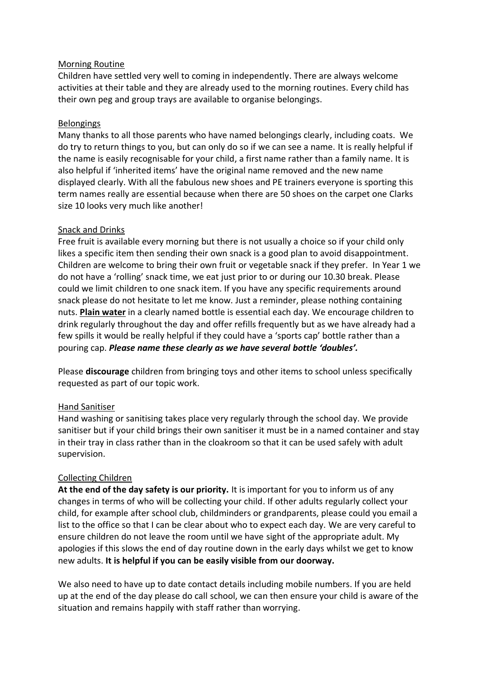### Morning Routine

Children have settled very well to coming in independently. There are always welcome activities at their table and they are already used to the morning routines. Every child has their own peg and group trays are available to organise belongings.

### Belongings

Many thanks to all those parents who have named belongings clearly, including coats. We do try to return things to you, but can only do so if we can see a name. It is really helpful if the name is easily recognisable for your child, a first name rather than a family name. It is also helpful if 'inherited items' have the original name removed and the new name displayed clearly. With all the fabulous new shoes and PE trainers everyone is sporting this term names really are essential because when there are 50 shoes on the carpet one Clarks size 10 looks very much like another!

### Snack and Drinks

Free fruit is available every morning but there is not usually a choice so if your child only likes a specific item then sending their own snack is a good plan to avoid disappointment. Children are welcome to bring their own fruit or vegetable snack if they prefer. In Year 1 we do not have a 'rolling' snack time, we eat just prior to or during our 10.30 break. Please could we limit children to one snack item. If you have any specific requirements around snack please do not hesitate to let me know. Just a reminder, please nothing containing nuts. **Plain water** in a clearly named bottle is essential each day. We encourage children to drink regularly throughout the day and offer refills frequently but as we have already had a few spills it would be really helpful if they could have a 'sports cap' bottle rather than a pouring cap. *Please name these clearly as we have several bottle 'doubles'.*

Please **discourage** children from bringing toys and other items to school unless specifically requested as part of our topic work.

# Hand Sanitiser

Hand washing or sanitising takes place very regularly through the school day. We provide sanitiser but if your child brings their own sanitiser it must be in a named container and stay in their tray in class rather than in the cloakroom so that it can be used safely with adult supervision.

# Collecting Children

**At the end of the day safety is our priority.** It is important for you to inform us of any changes in terms of who will be collecting your child. If other adults regularly collect your child, for example after school club, childminders or grandparents, please could you email a list to the office so that I can be clear about who to expect each day. We are very careful to ensure children do not leave the room until we have sight of the appropriate adult. My apologies if this slows the end of day routine down in the early days whilst we get to know new adults. **It is helpful if you can be easily visible from our doorway.**

We also need to have up to date contact details including mobile numbers. If you are held up at the end of the day please do call school, we can then ensure your child is aware of the situation and remains happily with staff rather than worrying.